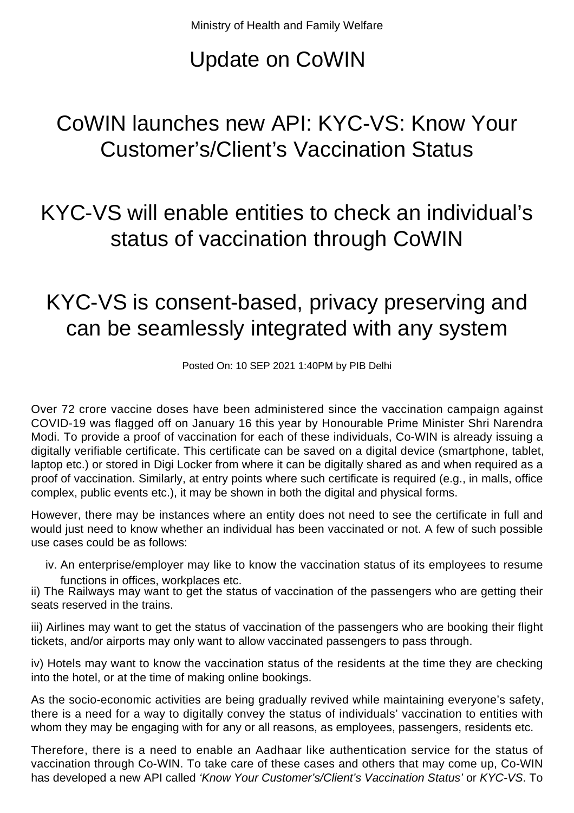## Update on CoWIN

## CoWIN launches new API: KYC-VS: Know Your Customer's/Client's Vaccination Status

## KYC-VS will enable entities to check an individual's status of vaccination through CoWIN

## KYC-VS is consent-based, privacy preserving and can be seamlessly integrated with any system

Posted On: 10 SEP 2021 1:40PM by PIB Delhi

Over 72 crore vaccine doses have been administered since the vaccination campaign against COVID-19 was flagged off on January 16 this year by Honourable Prime Minister Shri Narendra Modi. To provide a proof of vaccination for each of these individuals, Co-WIN is already issuing a digitally verifiable certificate. This certificate can be saved on a digital device (smartphone, tablet, laptop etc.) or stored in Digi Locker from where it can be digitally shared as and when required as a proof of vaccination. Similarly, at entry points where such certificate is required (e.g., in malls, office complex, public events etc.), it may be shown in both the digital and physical forms.

However, there may be instances where an entity does not need to see the certificate in full and would just need to know whether an individual has been vaccinated or not. A few of such possible use cases could be as follows:

iv. An enterprise/employer may like to know the vaccination status of its employees to resume functions in offices, workplaces etc.

ii) The Railways may want to get the status of vaccination of the passengers who are getting their seats reserved in the trains.

iii) Airlines may want to get the status of vaccination of the passengers who are booking their flight tickets, and/or airports may only want to allow vaccinated passengers to pass through.

iv) Hotels may want to know the vaccination status of the residents at the time they are checking into the hotel, or at the time of making online bookings.

As the socio-economic activities are being gradually revived while maintaining everyone's safety, there is a need for a way to digitally convey the status of individuals' vaccination to entities with whom they may be engaging with for any or all reasons, as employees, passengers, residents etc.

Therefore, there is a need to enable an Aadhaar like authentication service for the status of vaccination through Co-WIN. To take care of these cases and others that may come up, Co-WIN has developed a new API called 'Know Your Customer's/Client's Vaccination Status' or KYC-VS. To